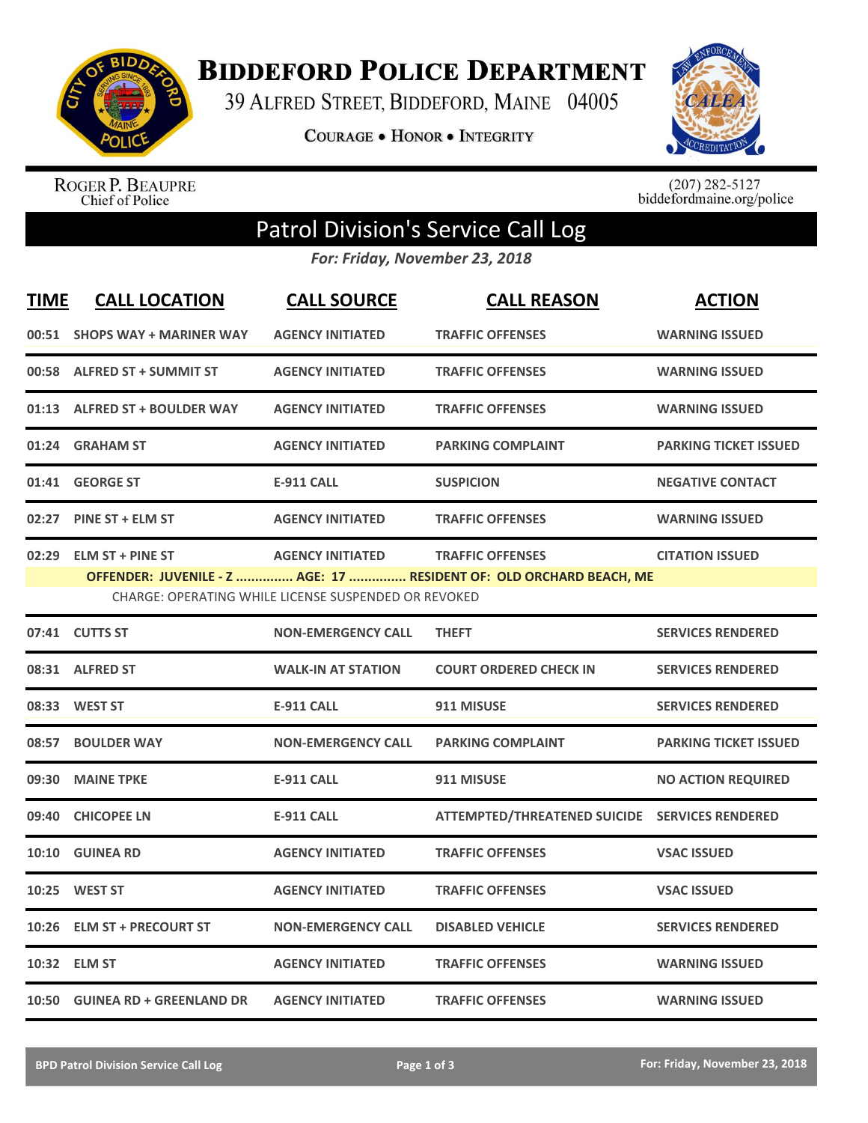

**BIDDEFORD POLICE DEPARTMENT** 

39 ALFRED STREET, BIDDEFORD, MAINE 04005

**COURAGE . HONOR . INTEGRITY** 



ROGER P. BEAUPRE<br>Chief of Police

 $(207)$  282-5127<br>biddefordmaine.org/police

## Patrol Division's Service Call Log

*For: Friday, November 23, 2018*

| <b>TIME</b> | <b>CALL LOCATION</b>                                                                                                                                                                                                                  | <b>CALL SOURCE</b>        | <b>CALL REASON</b>                             | <b>ACTION</b>                |  |
|-------------|---------------------------------------------------------------------------------------------------------------------------------------------------------------------------------------------------------------------------------------|---------------------------|------------------------------------------------|------------------------------|--|
|             | 00:51 SHOPS WAY + MARINER WAY                                                                                                                                                                                                         | <b>AGENCY INITIATED</b>   | <b>TRAFFIC OFFENSES</b>                        | <b>WARNING ISSUED</b>        |  |
|             | 00:58 ALFRED ST + SUMMIT ST                                                                                                                                                                                                           | <b>AGENCY INITIATED</b>   | <b>TRAFFIC OFFENSES</b>                        | <b>WARNING ISSUED</b>        |  |
|             | 01:13 ALFRED ST + BOULDER WAY                                                                                                                                                                                                         | <b>AGENCY INITIATED</b>   | <b>TRAFFIC OFFENSES</b>                        | <b>WARNING ISSUED</b>        |  |
|             | 01:24 GRAHAM ST                                                                                                                                                                                                                       | <b>AGENCY INITIATED</b>   | <b>PARKING COMPLAINT</b>                       | <b>PARKING TICKET ISSUED</b> |  |
|             | 01:41 GEORGE ST                                                                                                                                                                                                                       | <b>E-911 CALL</b>         | <b>SUSPICION</b>                               | <b>NEGATIVE CONTACT</b>      |  |
|             | 02:27 PINE ST + ELM ST                                                                                                                                                                                                                | <b>AGENCY INITIATED</b>   | <b>TRAFFIC OFFENSES</b>                        | <b>WARNING ISSUED</b>        |  |
|             | 02:29 ELM ST + PINE ST<br><b>AGENCY INITIATED</b><br><b>TRAFFIC OFFENSES</b><br><b>CITATION ISSUED</b><br>OFFENDER: JUVENILE - Z  AGE: 17  RESIDENT OF: OLD ORCHARD BEACH, ME<br>CHARGE: OPERATING WHILE LICENSE SUSPENDED OR REVOKED |                           |                                                |                              |  |
|             | 07:41 CUTTS ST                                                                                                                                                                                                                        | <b>NON-EMERGENCY CALL</b> | <b>THEFT</b>                                   | <b>SERVICES RENDERED</b>     |  |
|             | 08:31 ALFRED ST                                                                                                                                                                                                                       | <b>WALK-IN AT STATION</b> | <b>COURT ORDERED CHECK IN</b>                  | <b>SERVICES RENDERED</b>     |  |
|             | 08:33 WEST ST                                                                                                                                                                                                                         | <b>E-911 CALL</b>         | 911 MISUSE                                     | <b>SERVICES RENDERED</b>     |  |
| 08:57       | <b>BOULDER WAY</b>                                                                                                                                                                                                                    | <b>NON-EMERGENCY CALL</b> | <b>PARKING COMPLAINT</b>                       | <b>PARKING TICKET ISSUED</b> |  |
|             | 09:30 MAINE TPKE                                                                                                                                                                                                                      | <b>E-911 CALL</b>         | 911 MISUSE                                     | <b>NO ACTION REQUIRED</b>    |  |
|             | 09:40 CHICOPEE LN                                                                                                                                                                                                                     | <b>E-911 CALL</b>         | ATTEMPTED/THREATENED SUICIDE SERVICES RENDERED |                              |  |
| 10:10       | <b>GUINEA RD</b>                                                                                                                                                                                                                      | <b>AGENCY INITIATED</b>   | <b>TRAFFIC OFFENSES</b>                        | <b>VSAC ISSUED</b>           |  |
| 10:25       | <b>WEST ST</b>                                                                                                                                                                                                                        | <b>AGENCY INITIATED</b>   | <b>TRAFFIC OFFENSES</b>                        | <b>VSAC ISSUED</b>           |  |
|             | 10:26 ELM ST + PRECOURT ST                                                                                                                                                                                                            | <b>NON-EMERGENCY CALL</b> | <b>DISABLED VEHICLE</b>                        | <b>SERVICES RENDERED</b>     |  |
|             | 10:32 ELM ST                                                                                                                                                                                                                          | <b>AGENCY INITIATED</b>   | <b>TRAFFIC OFFENSES</b>                        | <b>WARNING ISSUED</b>        |  |
|             | 10:50 GUINEA RD + GREENLAND DR                                                                                                                                                                                                        | <b>AGENCY INITIATED</b>   | <b>TRAFFIC OFFENSES</b>                        | <b>WARNING ISSUED</b>        |  |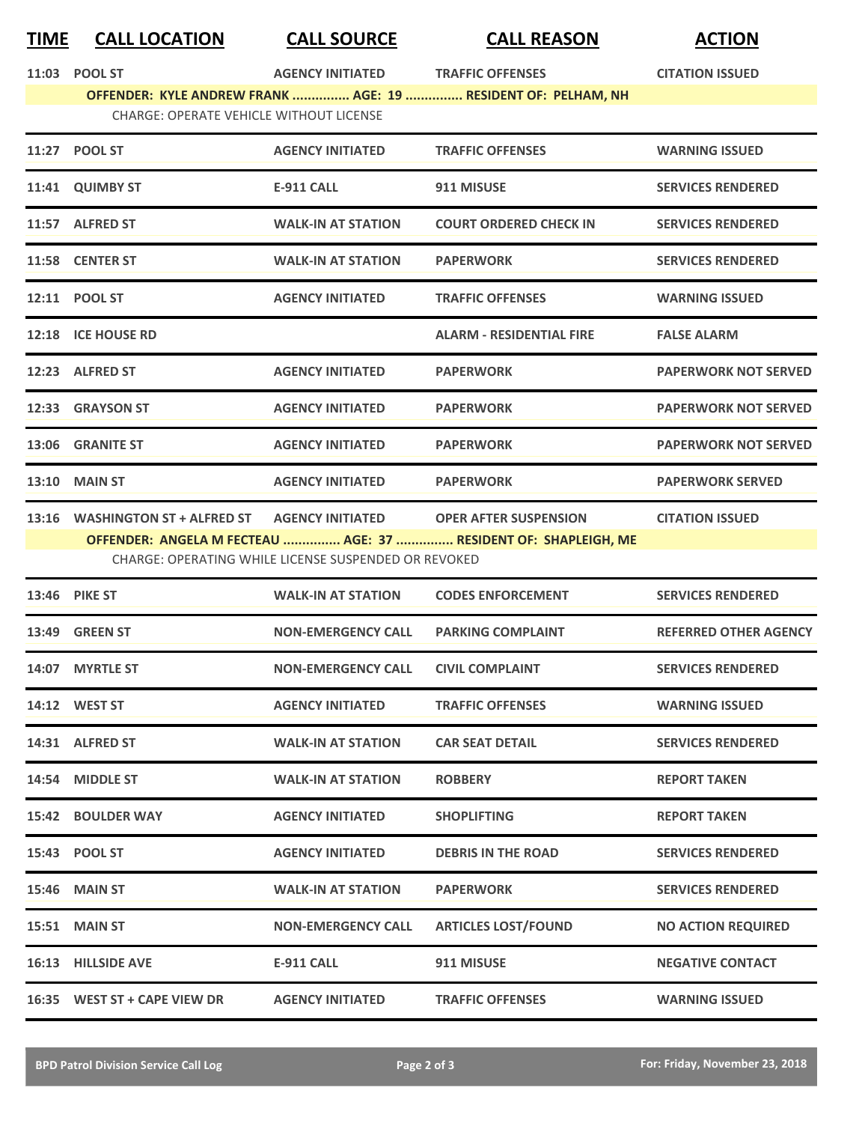## **TIME CALL LOCATION CALL SOURCE CALL REASON ACTION**

| 11:03 POOL ST                                                          | AGENCY INITIATED TRAFFIC OFFENSES |                                                                 | <b>CITATION ISSUED</b>      |  |
|------------------------------------------------------------------------|-----------------------------------|-----------------------------------------------------------------|-----------------------------|--|
|                                                                        |                                   | OFFENDER: KYLE ANDREW FRANK  AGE: 19  RESIDENT OF: PELHAM, NH   |                             |  |
| <b>CHARGE: OPERATE VEHICLE WITHOUT LICENSE</b>                         |                                   |                                                                 |                             |  |
| 11:27 POOL ST                                                          | <b>AGENCY INITIATED</b>           | <b>TRAFFIC OFFENSES</b>                                         | <b>WARNING ISSUED</b>       |  |
| 11:41 QUIMBY ST                                                        | <b>E-911 CALL</b>                 | 911 MISUSE                                                      | <b>SERVICES RENDERED</b>    |  |
| 11:57 ALFRED ST                                                        | <b>WALK-IN AT STATION</b>         | <b>COURT ORDERED CHECK IN</b>                                   | <b>SERVICES RENDERED</b>    |  |
| 11:58 CENTER ST                                                        | <b>WALK-IN AT STATION</b>         | <b>PAPERWORK</b>                                                | <b>SERVICES RENDERED</b>    |  |
| 12:11 POOL ST                                                          | <b>AGENCY INITIATED</b>           | <b>TRAFFIC OFFENSES</b>                                         | <b>WARNING ISSUED</b>       |  |
| 12:18 ICE HOUSE RD                                                     |                                   | <b>ALARM - RESIDENTIAL FIRE</b>                                 | <b>FALSE ALARM</b>          |  |
| 12:23 ALFRED ST                                                        | <b>AGENCY INITIATED</b>           | <b>PAPERWORK</b>                                                | <b>PAPERWORK NOT SERVED</b> |  |
| 12:33 GRAYSON ST                                                       | <b>AGENCY INITIATED</b>           | <b>PAPERWORK</b>                                                | <b>PAPERWORK NOT SERVED</b> |  |
| 13:06 GRANITE ST                                                       | <b>AGENCY INITIATED</b>           | <b>PAPERWORK</b>                                                | <b>PAPERWORK NOT SERVED</b> |  |
| <b>13:10 MAIN ST</b>                                                   | <b>AGENCY INITIATED</b>           | <b>PAPERWORK</b>                                                | <b>PAPERWORK SERVED</b>     |  |
| 13:16 WASHINGTON ST + ALFRED ST AGENCY INITIATED OPER AFTER SUSPENSION |                                   |                                                                 | <b>CITATION ISSUED</b>      |  |
|                                                                        |                                   | OFFENDER: ANGELA M FECTEAU  AGE: 37  RESIDENT OF: SHAPLEIGH, ME |                             |  |
| CHARGE: OPERATING WHILE LICENSE SUSPENDED OR REVOKED                   |                                   |                                                                 |                             |  |

| 13:46 PIKE ST                | <b>WALK-IN AT STATION</b> | <b>CODES ENFORCEMENT</b>   | <b>SERVICES RENDERED</b>     |
|------------------------------|---------------------------|----------------------------|------------------------------|
| <b>13:49 GREEN ST</b>        | <b>NON-EMERGENCY CALL</b> | <b>PARKING COMPLAINT</b>   | <b>REFERRED OTHER AGENCY</b> |
| 14:07 MYRTLE ST              | <b>NON-EMERGENCY CALL</b> | <b>CIVIL COMPLAINT</b>     | <b>SERVICES RENDERED</b>     |
| 14:12 WEST ST                | <b>AGENCY INITIATED</b>   | <b>TRAFFIC OFFENSES</b>    | <b>WARNING ISSUED</b>        |
| 14:31 ALFRED ST              | <b>WALK-IN AT STATION</b> | <b>CAR SEAT DETAIL</b>     | <b>SERVICES RENDERED</b>     |
| 14:54 MIDDLE ST              | <b>WALK-IN AT STATION</b> | <b>ROBBERY</b>             | <b>REPORT TAKEN</b>          |
| 15:42 BOULDER WAY            | <b>AGENCY INITIATED</b>   | <b>SHOPLIFTING</b>         | <b>REPORT TAKEN</b>          |
| 15:43 POOL ST                | <b>AGENCY INITIATED</b>   | <b>DEBRIS IN THE ROAD</b>  | <b>SERVICES RENDERED</b>     |
| <b>15:46 MAIN ST</b>         | <b>WALK-IN AT STATION</b> | <b>PAPERWORK</b>           | <b>SERVICES RENDERED</b>     |
| 15:51 MAIN ST                | <b>NON-EMERGENCY CALL</b> | <b>ARTICLES LOST/FOUND</b> | <b>NO ACTION REQUIRED</b>    |
| 16:13 HILLSIDE AVE           | <b>E-911 CALL</b>         | 911 MISUSE                 | <b>NEGATIVE CONTACT</b>      |
| 16:35 WEST ST + CAPE VIEW DR | <b>AGENCY INITIATED</b>   | <b>TRAFFIC OFFENSES</b>    | <b>WARNING ISSUED</b>        |